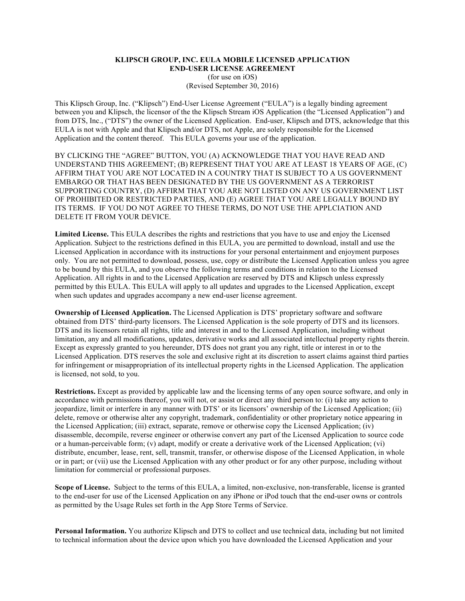#### **KLIPSCH GROUP, INC. EULA MOBILE LICENSED APPLICATION END-USER LICENSE AGREEMENT** (for use on iOS) (Revised September 30, 2016)

This Klipsch Group, Inc. ("Klipsch") End-User License Agreement ("EULA") is a legally binding agreement between you and Klipsch, the licensor of the the Klipsch Stream iOS Application (the "Licensed Application") and from DTS, Inc., ("DTS") the owner of the Licensed Application. End-user, Klipsch and DTS, acknowledge that this EULA is not with Apple and that Klipsch and/or DTS, not Apple, are solely responsible for the Licensed Application and the content thereof. This EULA governs your use of the application.

BY CLICKING THE "AGREE" BUTTON, YOU (A) ACKNOWLEDGE THAT YOU HAVE READ AND UNDERSTAND THIS AGREEMENT; (B) REPRESENT THAT YOU ARE AT LEAST 18 YEARS OF AGE, (C) AFFIRM THAT YOU ARE NOT LOCATED IN A COUNTRY THAT IS SUBJECT TO A US GOVERNMENT EMBARGO OR THAT HAS BEEN DESIGNATED BY THE US GOVERNMENT AS A TERRORIST SUPPORTING COUNTRY, (D) AFFIRM THAT YOU ARE NOT LISTED ON ANY US GOVERNMENT LIST OF PROHIBITED OR RESTRICTED PARTIES, AND (E) AGREE THAT YOU ARE LEGALLY BOUND BY ITS TERMS. IF YOU DO NOT AGREE TO THESE TERMS, DO NOT USE THE APPLCIATION AND DELETE IT FROM YOUR DEVICE.

**Limited License.** This EULA describes the rights and restrictions that you have to use and enjoy the Licensed Application. Subject to the restrictions defined in this EULA, you are permitted to download, install and use the Licensed Application in accordance with its instructions for your personal entertainment and enjoyment purposes only. You are not permitted to download, possess, use, copy or distribute the Licensed Application unless you agree to be bound by this EULA, and you observe the following terms and conditions in relation to the Licensed Application. All rights in and to the Licensed Application are reserved by DTS and Klipsch unless expressly permitted by this EULA. This EULA will apply to all updates and upgrades to the Licensed Application, except when such updates and upgrades accompany a new end-user license agreement.

**Ownership of Licensed Application.** The Licensed Application is DTS' proprietary software and software obtained from DTS' third-party licensors. The Licensed Application is the sole property of DTS and its licensors. DTS and its licensors retain all rights, title and interest in and to the Licensed Application, including without limitation, any and all modifications, updates, derivative works and all associated intellectual property rights therein. Except as expressly granted to you hereunder, DTS does not grant you any right, title or interest in or to the Licensed Application. DTS reserves the sole and exclusive right at its discretion to assert claims against third parties for infringement or misappropriation of its intellectual property rights in the Licensed Application. The application is licensed, not sold, to you.

**Restrictions.** Except as provided by applicable law and the licensing terms of any open source software, and only in accordance with permissions thereof, you will not, or assist or direct any third person to: (i) take any action to jeopardize, limit or interfere in any manner with DTS' or its licensors' ownership of the Licensed Application; (ii) delete, remove or otherwise alter any copyright, trademark, confidentiality or other proprietary notice appearing in the Licensed Application; (iii) extract, separate, remove or otherwise copy the Licensed Application; (iv) disassemble, decompile, reverse engineer or otherwise convert any part of the Licensed Application to source code or a human-perceivable form; (v) adapt, modify or create a derivative work of the Licensed Application; (vi) distribute, encumber, lease, rent, sell, transmit, transfer, or otherwise dispose of the Licensed Application, in whole or in part; or (vii) use the Licensed Application with any other product or for any other purpose, including without limitation for commercial or professional purposes.

**Scope of License.** Subject to the terms of this EULA, a limited, non-exclusive, non-transferable, license is granted to the end-user for use of the Licensed Application on any iPhone or iPod touch that the end-user owns or controls as permitted by the Usage Rules set forth in the App Store Terms of Service.

**Personal Information.** You authorize Klipsch and DTS to collect and use technical data, including but not limited to technical information about the device upon which you have downloaded the Licensed Application and your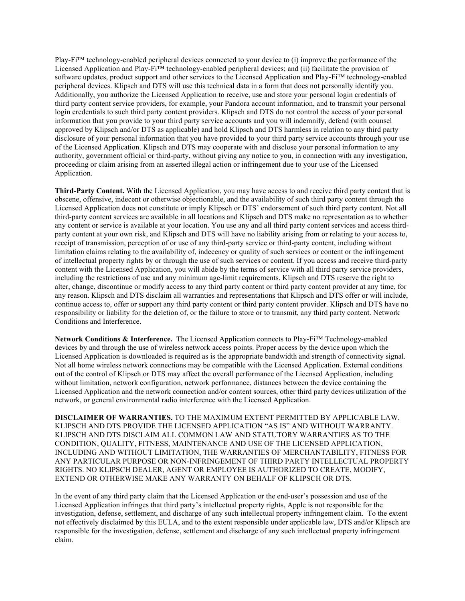Play-Fi™ technology-enabled peripheral devices connected to your device to (i) improve the performance of the Licensed Application and Play-Fi™ technology-enabled peripheral devices; and (ii) facilitate the provision of software updates, product support and other services to the Licensed Application and Play-Fi™ technology-enabled peripheral devices. Klipsch and DTS will use this technical data in a form that does not personally identify you. Additionally, you authorize the Licensed Application to receive, use and store your personal login credentials of third party content service providers, for example, your Pandora account information, and to transmit your personal login credentials to such third party content providers. Klipsch and DTS do not control the access of your personal information that you provide to your third party service accounts and you will indemnify, defend (with counsel approved by Klipsch and/or DTS as applicable) and hold Klipsch and DTS harmless in relation to any third party disclosure of your personal information that you have provided to your third party service accounts through your use of the Licensed Application. Klipsch and DTS may cooperate with and disclose your personal information to any authority, government official or third-party, without giving any notice to you, in connection with any investigation, proceeding or claim arising from an asserted illegal action or infringement due to your use of the Licensed Application.

**Third-Party Content.** With the Licensed Application, you may have access to and receive third party content that is obscene, offensive, indecent or otherwise objectionable, and the availability of such third party content through the Licensed Application does not constitute or imply Klipsch or DTS' endorsement of such third party content. Not all third-party content services are available in all locations and Klipsch and DTS make no representation as to whether any content or service is available at your location. You use any and all third party content services and access thirdparty content at your own risk, and Klipsch and DTS will have no liability arising from or relating to your access to, receipt of transmission, perception of or use of any third-party service or third-party content, including without limitation claims relating to the availability of, indecency or quality of such services or content or the infringement of intellectual property rights by or through the use of such services or content. If you access and receive third-party content with the Licensed Application, you will abide by the terms of service with all third party service providers, including the restrictions of use and any minimum age-limit requirements. Klipsch and DTS reserve the right to alter, change, discontinue or modify access to any third party content or third party content provider at any time, for any reason. Klipsch and DTS disclaim all warranties and representations that Klipsch and DTS offer or will include, continue access to, offer or support any third party content or third party content provider. Klipsch and DTS have no responsibility or liability for the deletion of, or the failure to store or to transmit, any third party content. Network Conditions and Interference.

**Network Conditions & Interference.** The Licensed Application connects to Play-Fi™ Technology-enabled devices by and through the use of wireless network access points. Proper access by the device upon which the Licensed Application is downloaded is required as is the appropriate bandwidth and strength of connectivity signal. Not all home wireless network connections may be compatible with the Licensed Application. External conditions out of the control of Klipsch or DTS may affect the overall performance of the Licensed Application, including without limitation, network configuration, network performance, distances between the device containing the Licensed Application and the network connection and/or content sources, other third party devices utilization of the network, or general environmental radio interference with the Licensed Application.

**DISCLAIMER OF WARRANTIES.** TO THE MAXIMUM EXTENT PERMITTED BY APPLICABLE LAW, KLIPSCH AND DTS PROVIDE THE LICENSED APPLICATION "AS IS" AND WITHOUT WARRANTY. KLIPSCH AND DTS DISCLAIM ALL COMMON LAW AND STATUTORY WARRANTIES AS TO THE CONDITION, QUALITY, FITNESS, MAINTENANCE AND USE OF THE LICENSED APPLICATION, INCLUDING AND WITHOUT LIMITATION, THE WARRANTIES OF MERCHANTABILITY, FITNESS FOR ANY PARTICULAR PURPOSE OR NON-INFRINGEMENT OF THIRD PARTY INTELLECTUAL PROPERTY RIGHTS. NO KLIPSCH DEALER, AGENT OR EMPLOYEE IS AUTHORIZED TO CREATE, MODIFY, EXTEND OR OTHERWISE MAKE ANY WARRANTY ON BEHALF OF KLIPSCH OR DTS.

In the event of any third party claim that the Licensed Application or the end-user's possession and use of the Licensed Application infringes that third party's intellectual property rights, Apple is not responsible for the investigation, defense, settlement, and discharge of any such intellectual property infringement claim. To the extent not effectively disclaimed by this EULA, and to the extent responsible under applicable law, DTS and/or Klipsch are responsible for the investigation, defense, settlement and discharge of any such intellectual property infringement claim.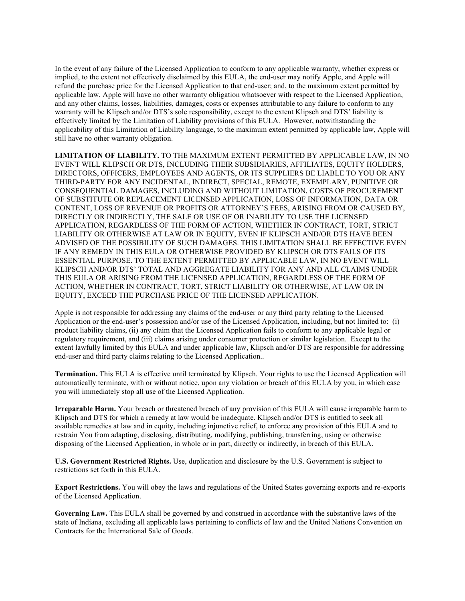In the event of any failure of the Licensed Application to conform to any applicable warranty, whether express or implied, to the extent not effectively disclaimed by this EULA, the end-user may notify Apple, and Apple will refund the purchase price for the Licensed Application to that end-user; and, to the maximum extent permitted by applicable law, Apple will have no other warranty obligation whatsoever with respect to the Licensed Application, and any other claims, losses, liabilities, damages, costs or expenses attributable to any failure to conform to any warranty will be Klipsch and/or DTS's sole responsibility, except to the extent Klipsch and DTS' liability is effectively limited by the Limitation of Liability provisions of this EULA. However, notwithstanding the applicability of this Limitation of Liability language, to the maximum extent permitted by applicable law, Apple will still have no other warranty obligation.

**LIMITATION OF LIABILITY.** TO THE MAXIMUM EXTENT PERMITTED BY APPLICABLE LAW, IN NO EVENT WILL KLIPSCH OR DTS, INCLUDING THEIR SUBSIDIARIES, AFFILIATES, EQUITY HOLDERS, DIRECTORS, OFFICERS, EMPLOYEES AND AGENTS, OR ITS SUPPLIERS BE LIABLE TO YOU OR ANY THIRD-PARTY FOR ANY INCIDENTAL, INDIRECT, SPECIAL, REMOTE, EXEMPLARY, PUNITIVE OR CONSEQUENTIAL DAMAGES, INCLUDING AND WITHOUT LIMITATION, COSTS OF PROCUREMENT OF SUBSTITUTE OR REPLACEMENT LICENSED APPLICATION, LOSS OF INFORMATION, DATA OR CONTENT, LOSS OF REVENUE OR PROFITS OR ATTORNEY'S FEES, ARISING FROM OR CAUSED BY, DIRECTLY OR INDIRECTLY, THE SALE OR USE OF OR INABILITY TO USE THE LICENSED APPLICATION, REGARDLESS OF THE FORM OF ACTION, WHETHER IN CONTRACT, TORT, STRICT LIABILITY OR OTHERWISE AT LAW OR IN EQUITY, EVEN IF KLIPSCH AND/OR DTS HAVE BEEN ADVISED OF THE POSSIBILITY OF SUCH DAMAGES. THIS LIMITATION SHALL BE EFFECTIVE EVEN IF ANY REMEDY IN THIS EULA OR OTHERWISE PROVIDED BY KLIPSCH OR DTS FAILS OF ITS ESSENTIAL PURPOSE. TO THE EXTENT PERMITTED BY APPLICABLE LAW, IN NO EVENT WILL KLIPSCH AND/OR DTS' TOTAL AND AGGREGATE LIABILITY FOR ANY AND ALL CLAIMS UNDER THIS EULA OR ARISING FROM THE LICENSED APPLICATION, REGARDLESS OF THE FORM OF ACTION, WHETHER IN CONTRACT, TORT, STRICT LIABILITY OR OTHERWISE, AT LAW OR IN EQUITY, EXCEED THE PURCHASE PRICE OF THE LICENSED APPLICATION.

Apple is not responsible for addressing any claims of the end-user or any third party relating to the Licensed Application or the end-user's possession and/or use of the Licensed Application, including, but not limited to: (i) product liability claims, (ii) any claim that the Licensed Application fails to conform to any applicable legal or regulatory requirement, and (iii) claims arising under consumer protection or similar legislation. Except to the extent lawfully limited by this EULA and under applicable law, Klipsch and/or DTS are responsible for addressing end-user and third party claims relating to the Licensed Application..

**Termination.** This EULA is effective until terminated by Klipsch. Your rights to use the Licensed Application will automatically terminate, with or without notice, upon any violation or breach of this EULA by you, in which case you will immediately stop all use of the Licensed Application.

**Irreparable Harm.** Your breach or threatened breach of any provision of this EULA will cause irreparable harm to Klipsch and DTS for which a remedy at law would be inadequate. Klipsch and/or DTS is entitled to seek all available remedies at law and in equity, including injunctive relief, to enforce any provision of this EULA and to restrain You from adapting, disclosing, distributing, modifying, publishing, transferring, using or otherwise disposing of the Licensed Application, in whole or in part, directly or indirectly, in breach of this EULA.

**U.S. Government Restricted Rights.** Use, duplication and disclosure by the U.S. Government is subject to restrictions set forth in this EULA.

**Export Restrictions.** You will obey the laws and regulations of the United States governing exports and re-exports of the Licensed Application.

**Governing Law.** This EULA shall be governed by and construed in accordance with the substantive laws of the state of Indiana, excluding all applicable laws pertaining to conflicts of law and the United Nations Convention on Contracts for the International Sale of Goods.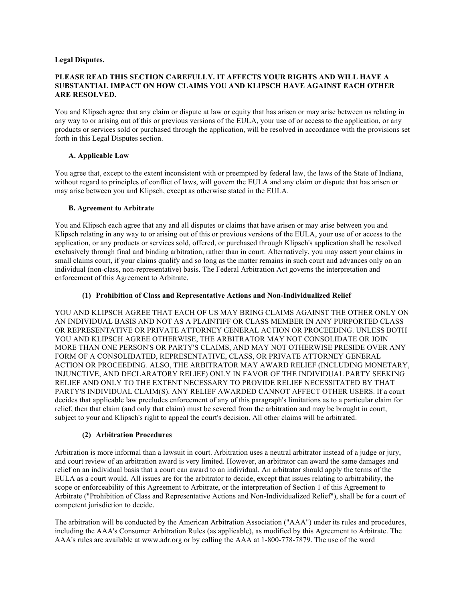#### **Legal Disputes.**

#### **PLEASE READ THIS SECTION CAREFULLY. IT AFFECTS YOUR RIGHTS AND WILL HAVE A SUBSTANTIAL IMPACT ON HOW CLAIMS YOU AND KLIPSCH HAVE AGAINST EACH OTHER ARE RESOLVED.**

You and Klipsch agree that any claim or dispute at law or equity that has arisen or may arise between us relating in any way to or arising out of this or previous versions of the EULA, your use of or access to the application, or any products or services sold or purchased through the application, will be resolved in accordance with the provisions set forth in this Legal Disputes section.

## **A. Applicable Law**

You agree that, except to the extent inconsistent with or preempted by federal law, the laws of the State of Indiana, without regard to principles of conflict of laws, will govern the EULA and any claim or dispute that has arisen or may arise between you and Klipsch, except as otherwise stated in the EULA.

## **B. Agreement to Arbitrate**

You and Klipsch each agree that any and all disputes or claims that have arisen or may arise between you and Klipsch relating in any way to or arising out of this or previous versions of the EULA, your use of or access to the application, or any products or services sold, offered, or purchased through Klipsch's application shall be resolved exclusively through final and binding arbitration, rather than in court. Alternatively, you may assert your claims in small claims court, if your claims qualify and so long as the matter remains in such court and advances only on an individual (non-class, non-representative) basis. The Federal Arbitration Act governs the interpretation and enforcement of this Agreement to Arbitrate.

# **(1) Prohibition of Class and Representative Actions and Non-Individualized Relief**

YOU AND KLIPSCH AGREE THAT EACH OF US MAY BRING CLAIMS AGAINST THE OTHER ONLY ON AN INDIVIDUAL BASIS AND NOT AS A PLAINTIFF OR CLASS MEMBER IN ANY PURPORTED CLASS OR REPRESENTATIVE OR PRIVATE ATTORNEY GENERAL ACTION OR PROCEEDING. UNLESS BOTH YOU AND KLIPSCH AGREE OTHERWISE, THE ARBITRATOR MAY NOT CONSOLIDATE OR JOIN MORE THAN ONE PERSON'S OR PARTY'S CLAIMS, AND MAY NOT OTHERWISE PRESIDE OVER ANY FORM OF A CONSOLIDATED, REPRESENTATIVE, CLASS, OR PRIVATE ATTORNEY GENERAL ACTION OR PROCEEDING. ALSO, THE ARBITRATOR MAY AWARD RELIEF (INCLUDING MONETARY, INJUNCTIVE, AND DECLARATORY RELIEF) ONLY IN FAVOR OF THE INDIVIDUAL PARTY SEEKING RELIEF AND ONLY TO THE EXTENT NECESSARY TO PROVIDE RELIEF NECESSITATED BY THAT PARTY'S INDIVIDUAL CLAIM(S). ANY RELIEF AWARDED CANNOT AFFECT OTHER USERS. If a court decides that applicable law precludes enforcement of any of this paragraph's limitations as to a particular claim for relief, then that claim (and only that claim) must be severed from the arbitration and may be brought in court, subject to your and Klipsch's right to appeal the court's decision. All other claims will be arbitrated.

## **(2) Arbitration Procedures**

Arbitration is more informal than a lawsuit in court. Arbitration uses a neutral arbitrator instead of a judge or jury, and court review of an arbitration award is very limited. However, an arbitrator can award the same damages and relief on an individual basis that a court can award to an individual. An arbitrator should apply the terms of the EULA as a court would. All issues are for the arbitrator to decide, except that issues relating to arbitrability, the scope or enforceability of this Agreement to Arbitrate, or the interpretation of Section 1 of this Agreement to Arbitrate ("Prohibition of Class and Representative Actions and Non-Individualized Relief"), shall be for a court of competent jurisdiction to decide.

The arbitration will be conducted by the American Arbitration Association ("AAA") under its rules and procedures, including the AAA's Consumer Arbitration Rules (as applicable), as modified by this Agreement to Arbitrate. The AAA's rules are available at www.adr.org or by calling the AAA at 1-800-778-7879. The use of the word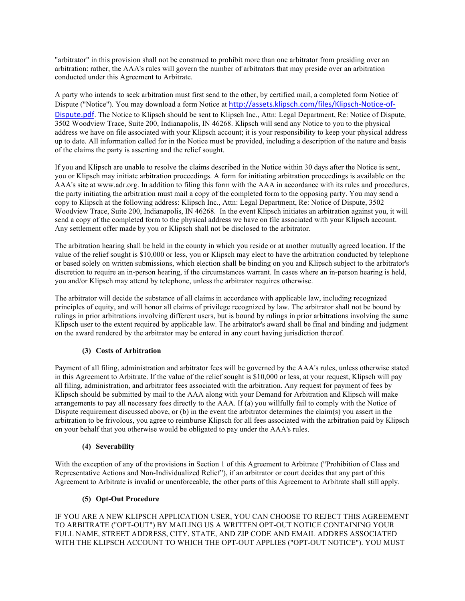"arbitrator" in this provision shall not be construed to prohibit more than one arbitrator from presiding over an arbitration: rather, the AAA's rules will govern the number of arbitrators that may preside over an arbitration conducted under this Agreement to Arbitrate.

A party who intends to seek arbitration must first send to the other, by certified mail, a completed form Notice of Dispute ("Notice"). You may download a form Notice at http://assets.klipsch.com/files/Klipsch-Notice-of-Dispute.pdf. The Notice to Klipsch should be sent to Klipsch Inc., Attn: Legal Department, Re: Notice of Dispute, 3502 Woodview Trace, Suite 200, Indianapolis, IN 46268. Klipsch will send any Notice to you to the physical address we have on file associated with your Klipsch account; it is your responsibility to keep your physical address up to date. All information called for in the Notice must be provided, including a description of the nature and basis of the claims the party is asserting and the relief sought.

If you and Klipsch are unable to resolve the claims described in the Notice within 30 days after the Notice is sent, you or Klipsch may initiate arbitration proceedings. A form for initiating arbitration proceedings is available on the AAA's site at www.adr.org. In addition to filing this form with the AAA in accordance with its rules and procedures, the party initiating the arbitration must mail a copy of the completed form to the opposing party. You may send a copy to Klipsch at the following address: Klipsch Inc., Attn: Legal Department, Re: Notice of Dispute, 3502 Woodview Trace, Suite 200, Indianapolis, IN 46268. In the event Klipsch initiates an arbitration against you, it will send a copy of the completed form to the physical address we have on file associated with your Klipsch account. Any settlement offer made by you or Klipsch shall not be disclosed to the arbitrator.

The arbitration hearing shall be held in the county in which you reside or at another mutually agreed location. If the value of the relief sought is \$10,000 or less, you or Klipsch may elect to have the arbitration conducted by telephone or based solely on written submissions, which election shall be binding on you and Klipsch subject to the arbitrator's discretion to require an in-person hearing, if the circumstances warrant. In cases where an in-person hearing is held, you and/or Klipsch may attend by telephone, unless the arbitrator requires otherwise.

The arbitrator will decide the substance of all claims in accordance with applicable law, including recognized principles of equity, and will honor all claims of privilege recognized by law. The arbitrator shall not be bound by rulings in prior arbitrations involving different users, but is bound by rulings in prior arbitrations involving the same Klipsch user to the extent required by applicable law. The arbitrator's award shall be final and binding and judgment on the award rendered by the arbitrator may be entered in any court having jurisdiction thereof.

## **(3) Costs of Arbitration**

Payment of all filing, administration and arbitrator fees will be governed by the AAA's rules, unless otherwise stated in this Agreement to Arbitrate. If the value of the relief sought is \$10,000 or less, at your request, Klipsch will pay all filing, administration, and arbitrator fees associated with the arbitration. Any request for payment of fees by Klipsch should be submitted by mail to the AAA along with your Demand for Arbitration and Klipsch will make arrangements to pay all necessary fees directly to the AAA. If (a) you willfully fail to comply with the Notice of Dispute requirement discussed above, or (b) in the event the arbitrator determines the claim(s) you assert in the arbitration to be frivolous, you agree to reimburse Klipsch for all fees associated with the arbitration paid by Klipsch on your behalf that you otherwise would be obligated to pay under the AAA's rules.

## **(4) Severability**

With the exception of any of the provisions in Section 1 of this Agreement to Arbitrate ("Prohibition of Class and Representative Actions and Non-Individualized Relief"), if an arbitrator or court decides that any part of this Agreement to Arbitrate is invalid or unenforceable, the other parts of this Agreement to Arbitrate shall still apply.

## **(5) Opt-Out Procedure**

IF YOU ARE A NEW KLIPSCH APPLICATION USER, YOU CAN CHOOSE TO REJECT THIS AGREEMENT TO ARBITRATE ("OPT-OUT") BY MAILING US A WRITTEN OPT-OUT NOTICE CONTAINING YOUR FULL NAME, STREET ADDRESS, CITY, STATE, AND ZIP CODE AND EMAIL ADDRES ASSOCIATED WITH THE KLIPSCH ACCOUNT TO WHICH THE OPT-OUT APPLIES ("OPT-OUT NOTICE"). YOU MUST